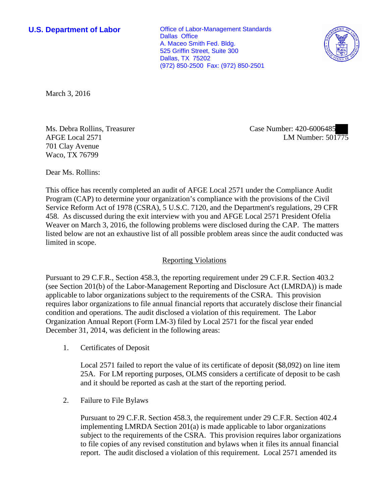**U.S. Department of Labor Conservative Conservative Conservative Conservative Conservative Conservative Conservative Conservative Conservative Conservative Conservative Conservative Conservative Conservative Conservative** Dallas Office A. Maceo Smith Fed. Bldg. 525 Griffin Street, Suite 300 Dallas, TX 75202 (972) 850-2500 Fax: (972) 850-2501



March 3, 2016

Ms. Debra Rollins, Treasurer AFGE Local 2571 701 Clay Avenue Waco, TX 76799

Case Number: 420-6006485 LM Number: 501775

Dear Ms. Rollins:

This office has recently completed an audit of AFGE Local 2571 under the Compliance Audit Program (CAP) to determine your organization's compliance with the provisions of the Civil Service Reform Act of 1978 (CSRA), 5 U.S.C. 7120, and the Department's regulations, 29 CFR 458. As discussed during the exit interview with you and AFGE Local 2571 President Ofelia Weaver on March 3, 2016, the following problems were disclosed during the CAP. The matters listed below are not an exhaustive list of all possible problem areas since the audit conducted was limited in scope.

## Reporting Violations

Pursuant to 29 C.F.R., Section 458.3, the reporting requirement under 29 C.F.R. Section 403.2 (see Section 201(b) of the Labor-Management Reporting and Disclosure Act (LMRDA)) is made applicable to labor organizations subject to the requirements of the CSRA. This provision requires labor organizations to file annual financial reports that accurately disclose their financial condition and operations. The audit disclosed a violation of this requirement. The Labor Organization Annual Report (Form LM-3) filed by Local 2571 for the fiscal year ended December 31, 2014, was deficient in the following areas:

1. Certificates of Deposit

Local 2571 failed to report the value of its certificate of deposit (\$8,092) on line item 25A. For LM reporting purposes, OLMS considers a certificate of deposit to be cash and it should be reported as cash at the start of the reporting period.

2. Failure to File Bylaws

Pursuant to 29 C.F.R. Section 458.3, the requirement under 29 C.F.R. Section 402.4 implementing LMRDA Section  $201(a)$  is made applicable to labor organizations subject to the requirements of the CSRA. This provision requires labor organizations to file copies of any revised constitution and bylaws when it files its annual financial report. The audit disclosed a violation of this requirement. Local 2571 amended its